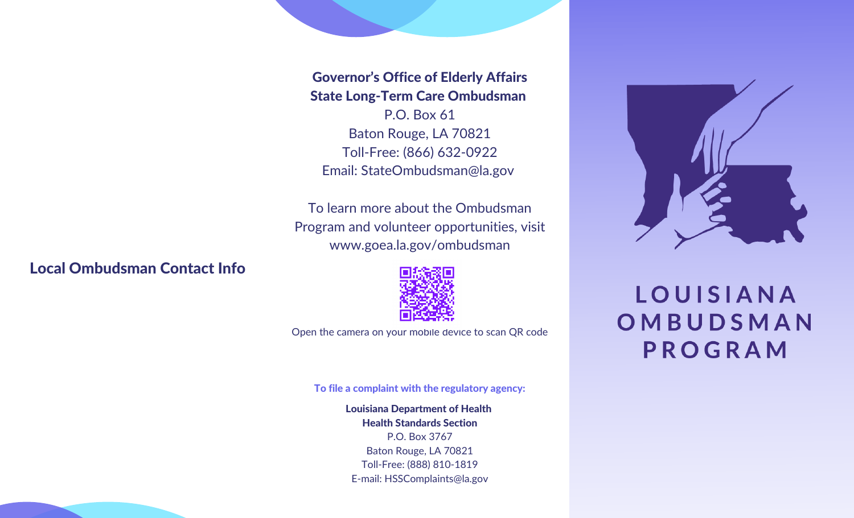# State Long-Term Care Ombudsman

**ESTABLE CONTRIGE CONSTANT CONTRIGE CONSTANT CONSTANT CONSUMING THE STATE OF EXTREMELY STATE OF THE STAR ON DETAILS AND THE CONSULTING THE CONSULTING THE CONSULTING THE CONSULTING THE CONSULTING THE CONSULTING THE ADDITION** P.O. Box 61 Baton Rouge, LA 70821 Toll-Free: (866) 632-0922 Email: StateOmbudsman@la.gov

To learn more about the Ombudsman Program and volunteer opportunities, visit www.goea.la.gov/ombudsman

#### Local Ombudsman Contact Info

Open the camera on your mobile device to scan QR code

To file a complaint with the regulatory agency:

**ADVERTIGATE:**<br> **ADVERTIGATE:**<br> **ADVERTIGATE:**<br> **ADVERTIGATE:**<br> **ADVERTIGATE:**<br> **ADVERTIGATE:**<br> **ADVERTIGATE:**<br> **ADVERTIGATE:**<br> **ADVERTIGATE:**<br> **ADVERTIGATE:**<br> **ADVERTIGATE:**<br> **ADVERTIGATE:**<br> **ADVERTIGATE:**<br> **ADVERTIGATE:** Louisiana Department of Health Health Standards Section P.O. Box 3767 Baton Rouge, LA 70821 Toll-Free: (888) 810-1819 E-mail: HSSComplaints@la.gov



**LOUISIANA** OMBUDSMAN PROGRAM